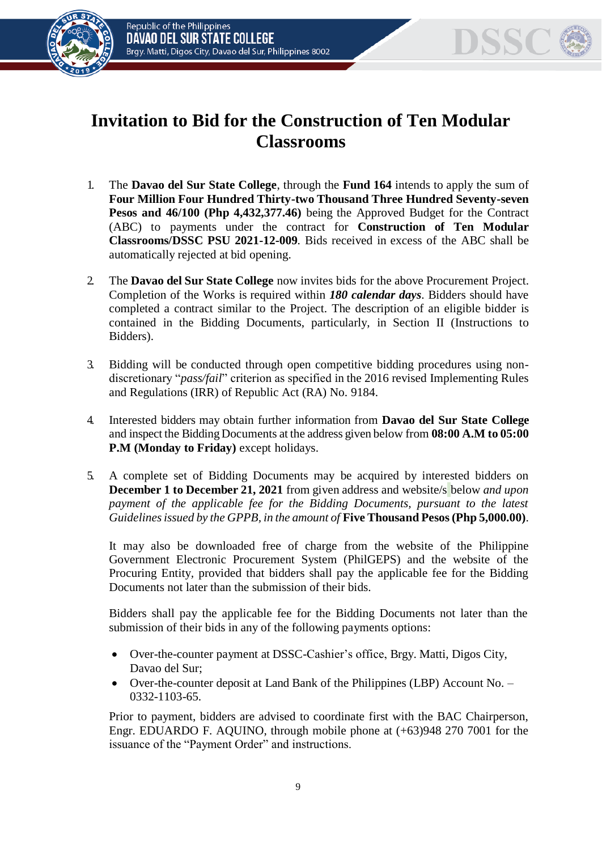



## **Invitation to Bid for the Construction of Ten Modular Classrooms**

- 1. The **Davao del Sur State College**, through the **Fund 164** intends to apply the sum of **Four Million Four Hundred Thirty-two Thousand Three Hundred Seventy-seven Pesos and 46/100 (Php 4,432,377.46)** being the Approved Budget for the Contract (ABC) to payments under the contract for **Construction of Ten Modular Classrooms/DSSC PSU 2021-12-009***.* Bids received in excess of the ABC shall be automatically rejected at bid opening.
- 2. The **Davao del Sur State College** now invites bids for the above Procurement Project. Completion of the Works is required within *180 calendar days*. Bidders should have completed a contract similar to the Project. The description of an eligible bidder is contained in the Bidding Documents, particularly, in Section II (Instructions to Bidders).
- 3. Bidding will be conducted through open competitive bidding procedures using nondiscretionary "*pass/fail*" criterion as specified in the 2016 revised Implementing Rules and Regulations (IRR) of Republic Act (RA) No. 9184.
- 4. Interested bidders may obtain further information from **Davao del Sur State College**  and inspect the Bidding Documents at the address given below from **08:00 A.M to 05:00 P.M (Monday to Friday)** except holidays.
- 5. A complete set of Bidding Documents may be acquired by interested bidders on **December 1 to December 21, 2021** from given address and website/s below *and upon payment of the applicable fee for the Bidding Documents, pursuant to the latest Guidelines issued by the GPPB, in the amount of* **Five Thousand Pesos (Php 5,000.00)**.

It may also be downloaded free of charge from the website of the Philippine Government Electronic Procurement System (PhilGEPS) and the website of the Procuring Entity*,* provided that bidders shall pay the applicable fee for the Bidding Documents not later than the submission of their bids.

Bidders shall pay the applicable fee for the Bidding Documents not later than the submission of their bids in any of the following payments options:

- Over-the-counter payment at DSSC-Cashier's office, Brgy. Matti, Digos City, Davao del Sur;
- Over-the-counter deposit at Land Bank of the Philippines (LBP) Account No. 0332-1103-65.

Prior to payment, bidders are advised to coordinate first with the BAC Chairperson, Engr. EDUARDO F. AQUINO, through mobile phone at (+63)948 270 7001 for the issuance of the "Payment Order" and instructions.